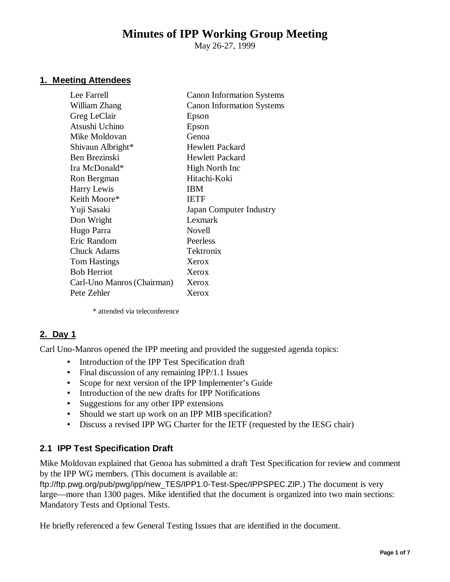# **Minutes of IPP Working Group Meeting**

May 26-27, 1999

## **1. Meeting Attendees**

| Lee Farrell                | <b>Canon Information Systems</b> |
|----------------------------|----------------------------------|
| William Zhang              | <b>Canon Information Systems</b> |
| Greg LeClair               | Epson                            |
| Atsushi Uchino             | Epson                            |
| Mike Moldovan              | Genoa                            |
| Shivaun Albright*          | <b>Hewlett Packard</b>           |
| Ben Brezinski              | <b>Hewlett Packard</b>           |
| Ira McDonald*              | High North Inc                   |
| Ron Bergman                | Hitachi-Koki                     |
| Harry Lewis                | <b>IBM</b>                       |
| Keith Moore*               | <b>IETF</b>                      |
| Yuji Sasaki                | Japan Computer Industry          |
| Don Wright                 | Lexmark                          |
| Hugo Parra                 | Novell                           |
| Eric Random                | Peerless                         |
| Chuck Adams                | Tektronix                        |
| <b>Tom Hastings</b>        | Xerox                            |
| <b>Bob Herriot</b>         | Xerox                            |
| Carl-Uno Manros (Chairman) | Xerox                            |
| Pete Zehler                | Xerox                            |
|                            |                                  |

\* attended via teleconference

### **2. Day 1**

Carl Uno-Manros opened the IPP meeting and provided the suggested agenda topics:

- Introduction of the IPP Test Specification draft
- Final discussion of any remaining IPP/1.1 Issues
- Scope for next version of the IPP Implementer's Guide
- Introduction of the new drafts for IPP Notifications
- Suggestions for any other IPP extensions
- Should we start up work on an IPP MIB specification?
- Discuss a revised IPP WG Charter for the IETF (requested by the IESG chair)

### **2.1 IPP Test Specification Draft**

Mike Moldovan explained that Genoa has submitted a draft Test Specification for review and comment by the IPP WG members. (This document is available at:

ftp://ftp.pwg.org/pub/pwg/ipp/new\_TES/IPP1.0-Test-Spec/IPPSPEC.ZIP.) The document is very large— more than 1300 pages. Mike identified that the document is organized into two main sections: Mandatory Tests and Optional Tests.

He briefly referenced a few General Testing Issues that are identified in the document.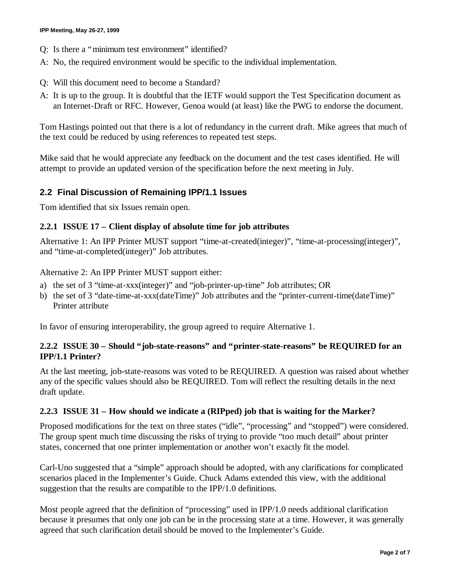- Q: Is there a "minimum test environment" identified?
- A: No, the required environment would be specific to the individual implementation.
- Q: Will this document need to become a Standard?
- A: It is up to the group. It is doubtful that the IETF would support the Test Specification document as an Internet-Draft or RFC. However, Genoa would (at least) like the PWG to endorse the document.

Tom Hastings pointed out that there is a lot of redundancy in the current draft. Mike agrees that much of the text could be reduced by using references to repeated test steps.

Mike said that he would appreciate any feedback on the document and the test cases identified. He will attempt to provide an updated version of the specification before the next meeting in July.

### **2.2 Final Discussion of Remaining IPP/1.1 Issues**

Tom identified that six Issues remain open.

#### **2.2.1 ISSUE 17 – Client display of absolute time for job attributes**

Alternative 1: An IPP Printer MUST support "time-at-created(integer)", "time-at-processing(integer)", and "time-at-completed(integer)" Job attributes.

Alternative 2: An IPP Printer MUST support either:

- a) the set of 3 "time-at-xxx(integer)" and "job-printer-up-time" Job attributes; OR
- b) the set of 3 "date-time-at-xxx(dateTime)" Job attributes and the "printer-current-time(dateTime)" Printer attribute

In favor of ensuring interoperability, the group agreed to require Alternative 1.

### **2.2.2 ISSUE 30 – Should "job-state-reasons" and "printer-state-reasons" be REQUIRED for an IPP/1.1 Printer?**

At the last meeting, job-state-reasons was voted to be REQUIRED. A question was raised about whether any of the specific values should also be REQUIRED. Tom will reflect the resulting details in the next draft update.

### **2.2.3 ISSUE 31 – How should we indicate a (RIPped) job that is waiting for the Marker?**

Proposed modifications for the text on three states ("idle", "processing" and "stopped") were considered. The group spent much time discussing the risks of trying to provide "too much detail" about printer states, concerned that one printer implementation or another won't exactly fit the model.

Carl-Uno suggested that a "simple" approach should be adopted, with any clarifications for complicated scenarios placed in the Implementer's Guide. Chuck Adams extended this view, with the additional suggestion that the results are compatible to the IPP/1.0 definitions.

Most people agreed that the definition of "processing" used in IPP/1.0 needs additional clarification because it presumes that only one job can be in the processing state at a time. However, it was generally agreed that such clarification detail should be moved to the Implementer's Guide.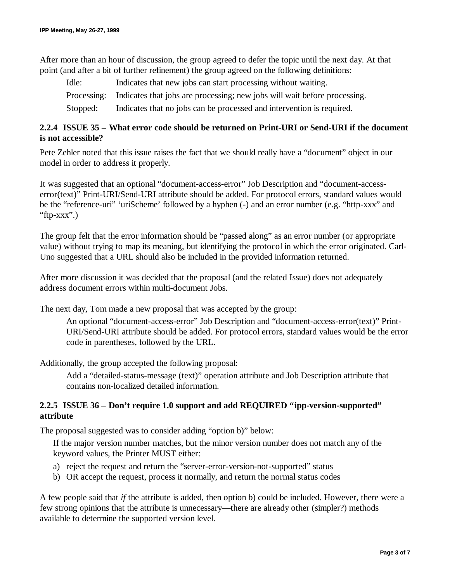After more than an hour of discussion, the group agreed to defer the topic until the next day. At that point (and after a bit of further refinement) the group agreed on the following definitions:

Idle: Indicates that new jobs can start processing without waiting. Processing: Indicates that jobs are processing; new jobs will wait before processing. Stopped: Indicates that no jobs can be processed and intervention is required.

## **2.2.4 ISSUE 35 – What error code should be returned on Print-URI or Send-URI if the document is not accessible?**

Pete Zehler noted that this issue raises the fact that we should really have a "document" object in our model in order to address it properly.

It was suggested that an optional "document-access-error" Job Description and "document-accesserror(text)" Print-URI/Send-URI attribute should be added. For protocol errors, standard values would be the "reference-uri" 'uriScheme' followed by a hyphen (-) and an error number (e.g. "http-xxx" and "ftp-xxx".)

The group felt that the error information should be "passed along" as an error number (or appropriate value) without trying to map its meaning, but identifying the protocol in which the error originated. Carl-Uno suggested that a URL should also be included in the provided information returned.

After more discussion it was decided that the proposal (and the related Issue) does not adequately address document errors within multi-document Jobs.

The next day, Tom made a new proposal that was accepted by the group:

An optional "document-access-error" Job Description and "document-access-error(text)" Print-URI/Send-URI attribute should be added. For protocol errors, standard values would be the error code in parentheses, followed by the URL.

Additionally, the group accepted the following proposal:

Add a "detailed-status-message (text)" operation attribute and Job Description attribute that contains non-localized detailed information.

### **2.2.5 ISSUE 36 – Don't require 1.0 support and add REQUIRED "ipp-version-supported" attribute**

The proposal suggested was to consider adding "option b)" below:

If the major version number matches, but the minor version number does not match any of the keyword values, the Printer MUST either:

- a) reject the request and return the "server-error-version-not-supported" status
- b) OR accept the request, process it normally, and return the normal status codes

A few people said that *if* the attribute is added, then option b) could be included. However, there were a few strong opinions that the attribute is unnecessary— there are already other (simpler?) methods available to determine the supported version level.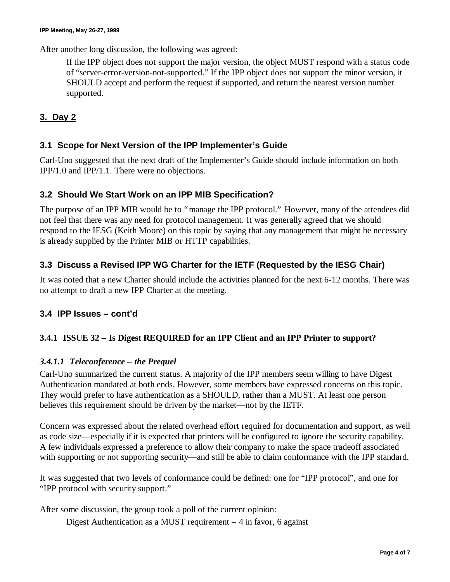After another long discussion, the following was agreed:

If the IPP object does not support the major version, the object MUST respond with a status code of "server-error-version-not-supported." If the IPP object does not support the minor version, it SHOULD accept and perform the request if supported, and return the nearest version number supported.

# **3. Day 2**

# **3.1 Scope for Next Version of the IPP Implementer's Guide**

Carl-Uno suggested that the next draft of the Implementer's Guide should include information on both IPP/1.0 and IPP/1.1. There were no objections.

# **3.2 Should We Start Work on an IPP MIB Specification?**

The purpose of an IPP MIB would be to "manage the IPP protocol." However, many of the attendees did not feel that there was any need for protocol management. It was generally agreed that we should respond to the IESG (Keith Moore) on this topic by saying that any management that might be necessary is already supplied by the Printer MIB or HTTP capabilities.

# **3.3 Discuss a Revised IPP WG Charter for the IETF (Requested by the IESG Chair)**

It was noted that a new Charter should include the activities planned for the next 6-12 months. There was no attempt to draft a new IPP Charter at the meeting.

# **3.4 IPP Issues – cont'd**

# **3.4.1 ISSUE 32 – Is Digest REQUIRED for an IPP Client and an IPP Printer to support?**

# *3.4.1.1 Teleconference – the Prequel*

Carl-Uno summarized the current status. A majority of the IPP members seem willing to have Digest Authentication mandated at both ends. However, some members have expressed concerns on this topic. They would prefer to have authentication as a SHOULD, rather than a MUST. At least one person believes this requirement should be driven by the market— not by the IETF.

Concern was expressed about the related overhead effort required for documentation and support, as well as code size— especially if it is expected that printers will be configured to ignore the security capability. A few individuals expressed a preference to allow their company to make the space tradeoff associated with supporting or not supporting security—and still be able to claim conformance with the IPP standard.

It was suggested that two levels of conformance could be defined: one for "IPP protocol", and one for "IPP protocol with security support."

After some discussion, the group took a poll of the current opinion:

Digest Authentication as a MUST requirement – 4 in favor, 6 against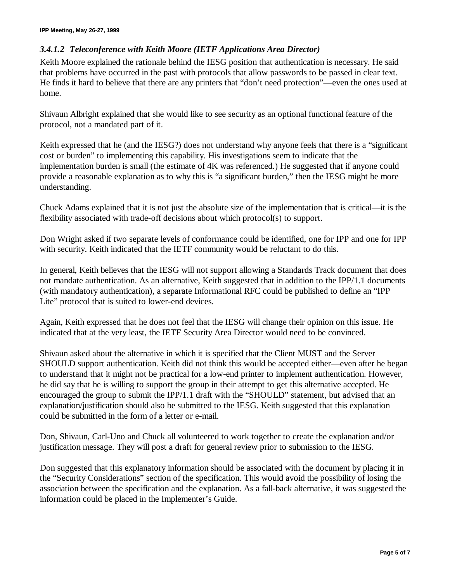### *3.4.1.2 Teleconference with Keith Moore (IETF Applications Area Director)*

Keith Moore explained the rationale behind the IESG position that authentication is necessary. He said that problems have occurred in the past with protocols that allow passwords to be passed in clear text. He finds it hard to believe that there are any printers that "don't need protection"— even the ones used at home.

Shivaun Albright explained that she would like to see security as an optional functional feature of the protocol, not a mandated part of it.

Keith expressed that he (and the IESG?) does not understand why anyone feels that there is a "significant cost or burden" to implementing this capability. His investigations seem to indicate that the implementation burden is small (the estimate of 4K was referenced.) He suggested that if anyone could provide a reasonable explanation as to why this is "a significant burden," then the IESG might be more understanding.

Chuck Adams explained that it is not just the absolute size of the implementation that is critical— it is the flexibility associated with trade-off decisions about which protocol(s) to support.

Don Wright asked if two separate levels of conformance could be identified, one for IPP and one for IPP with security. Keith indicated that the IETF community would be reluctant to do this.

In general, Keith believes that the IESG will not support allowing a Standards Track document that does not mandate authentication. As an alternative, Keith suggested that in addition to the IPP/1.1 documents (with mandatory authentication), a separate Informational RFC could be published to define an "IPP Lite" protocol that is suited to lower-end devices.

Again, Keith expressed that he does not feel that the IESG will change their opinion on this issue. He indicated that at the very least, the IETF Security Area Director would need to be convinced.

Shivaun asked about the alternative in which it is specified that the Client MUST and the Server SHOULD support authentication. Keith did not think this would be accepted either— even after he began to understand that it might not be practical for a low-end printer to implement authentication. However, he did say that he is willing to support the group in their attempt to get this alternative accepted. He encouraged the group to submit the IPP/1.1 draft with the "SHOULD" statement, but advised that an explanation/justification should also be submitted to the IESG. Keith suggested that this explanation could be submitted in the form of a letter or e-mail.

Don, Shivaun, Carl-Uno and Chuck all volunteered to work together to create the explanation and/or justification message. They will post a draft for general review prior to submission to the IESG.

Don suggested that this explanatory information should be associated with the document by placing it in the "Security Considerations" section of the specification. This would avoid the possibility of losing the association between the specification and the explanation. As a fall-back alternative, it was suggested the information could be placed in the Implementer's Guide.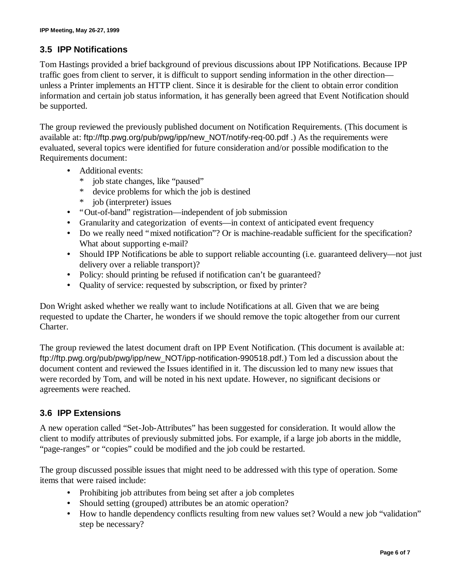# **3.5 IPP Notifications**

Tom Hastings provided a brief background of previous discussions about IPP Notifications. Because IPP traffic goes from client to server, it is difficult to support sending information in the other direction unless a Printer implements an HTTP client. Since it is desirable for the client to obtain error condition information and certain job status information, it has generally been agreed that Event Notification should be supported.

The group reviewed the previously published document on Notification Requirements. (This document is available at: ftp://ftp.pwg.org/pub/pwg/ipp/new\_NOT/notify-req-00.pdf .) As the requirements were evaluated, several topics were identified for future consideration and/or possible modification to the Requirements document:

- Additional events:
	- job state changes, like "paused"
	- \* device problems for which the job is destined
	- \* job (interpreter) issues
- "Out-of-band" registration—independent of job submission
- Granularity and categorization of events— in context of anticipated event frequency
- Do we really need "mixed notification"? Or is machine-readable sufficient for the specification? What about supporting e-mail?
- Should IPP Notifications be able to support reliable accounting (i.e. guaranteed delivery— not just delivery over a reliable transport)?
- Policy: should printing be refused if notification can't be guaranteed?
- Quality of service: requested by subscription, or fixed by printer?

Don Wright asked whether we really want to include Notifications at all. Given that we are being requested to update the Charter, he wonders if we should remove the topic altogether from our current Charter.

The group reviewed the latest document draft on IPP Event Notification. (This document is available at: ftp://ftp.pwg.org/pub/pwg/ipp/new\_NOT/ipp-notification-990518.pdf.) Tom led a discussion about the document content and reviewed the Issues identified in it. The discussion led to many new issues that were recorded by Tom, and will be noted in his next update. However, no significant decisions or agreements were reached.

# **3.6 IPP Extensions**

A new operation called "Set-Job-Attributes" has been suggested for consideration. It would allow the client to modify attributes of previously submitted jobs. For example, if a large job aborts in the middle, "page-ranges" or "copies" could be modified and the job could be restarted.

The group discussed possible issues that might need to be addressed with this type of operation. Some items that were raised include:

- Prohibiting job attributes from being set after a job completes
- Should setting (grouped) attributes be an atomic operation?
- How to handle dependency conflicts resulting from new values set? Would a new job "validation" step be necessary?